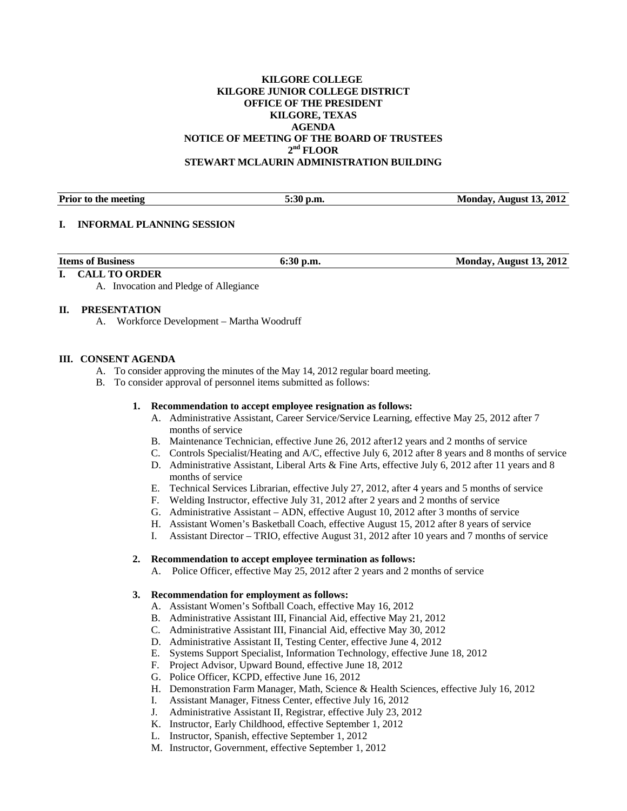# **KILGORE COLLEGE KILGORE JUNIOR COLLEGE DISTRICT OFFICE OF THE PRESIDENT KILGORE, TEXAS AGENDA NOTICE OF MEETING OF THE BOARD OF TRUSTEES 2nd FLOOR STEWART MCLAURIN ADMINISTRATION BUILDING**

**Prior to the meeting 5:30 p.m.** 5:30 p.m. Monday, August 13, 2012

### **I. INFORMAL PLANNING SESSION**

| <b>Items of Business</b> | <u> 20</u>     |                                     |
|--------------------------|----------------|-------------------------------------|
|                          | ` p.m.<br>0;3V | Monday, August 13, 2012<br>1.120227 |

# **I. CALL TO ORDER**

A. Invocation and Pledge of Allegiance

# **II. PRESENTATION**

A. Workforce Development – Martha Woodruff

# **III. CONSENT AGENDA**

- A. To consider approving the minutes of the May 14, 2012 regular board meeting.
- B. To consider approval of personnel items submitted as follows:

# **1. Recommendation to accept employee resignation as follows:**

- A. Administrative Assistant, Career Service/Service Learning, effective May 25, 2012 after 7 months of service
- B. Maintenance Technician, effective June 26, 2012 after12 years and 2 months of service
- C. Controls Specialist/Heating and A/C, effective July 6, 2012 after 8 years and 8 months of service
- D. Administrative Assistant, Liberal Arts & Fine Arts, effective July 6, 2012 after 11 years and 8 months of service
- E. Technical Services Librarian, effective July 27, 2012, after 4 years and 5 months of service
- F. Welding Instructor, effective July 31, 2012 after 2 years and 2 months of service
- G. Administrative Assistant ADN, effective August 10, 2012 after 3 months of service
- H. Assistant Women's Basketball Coach, effective August 15, 2012 after 8 years of service
- I. Assistant Director TRIO, effective August 31, 2012 after 10 years and 7 months of service

### **2. Recommendation to accept employee termination as follows:**

A. Police Officer, effective May 25, 2012 after 2 years and 2 months of service

### **3. Recommendation for employment as follows:**

- A. Assistant Women's Softball Coach, effective May 16, 2012
- B. Administrative Assistant III, Financial Aid, effective May 21, 2012
- C. Administrative Assistant III, Financial Aid, effective May 30, 2012
- D. Administrative Assistant II, Testing Center, effective June 4, 2012
- E. Systems Support Specialist, Information Technology, effective June 18, 2012
- F. Project Advisor, Upward Bound, effective June 18, 2012
- G. Police Officer, KCPD, effective June 16, 2012
- H. Demonstration Farm Manager, Math, Science & Health Sciences, effective July 16, 2012
- I. Assistant Manager, Fitness Center, effective July 16, 2012
- J. Administrative Assistant II, Registrar, effective July 23, 2012
- K. Instructor, Early Childhood, effective September 1, 2012
- L. Instructor, Spanish, effective September 1, 2012
- M. Instructor, Government, effective September 1, 2012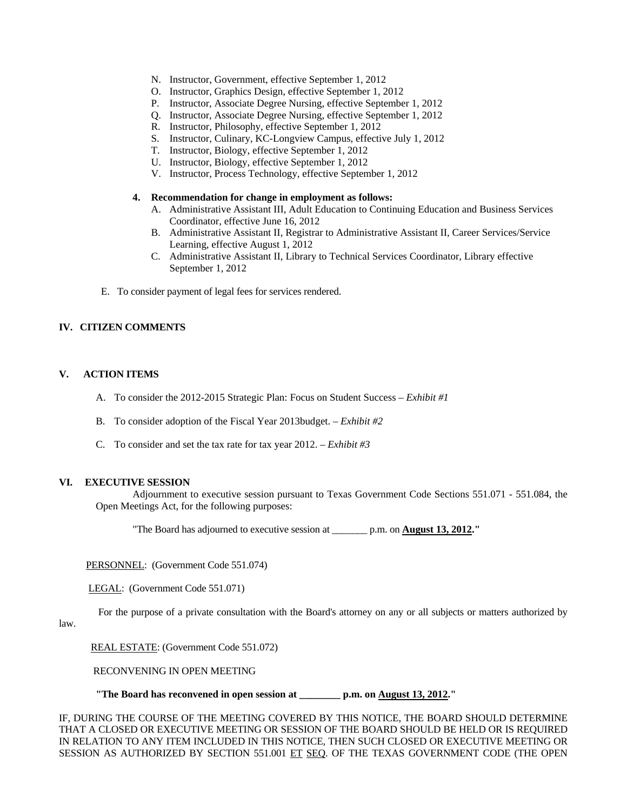- N. Instructor, Government, effective September 1, 2012
- O. Instructor, Graphics Design, effective September 1, 2012
- P. Instructor, Associate Degree Nursing, effective September 1, 2012
- Q. Instructor, Associate Degree Nursing, effective September 1, 2012
- R. Instructor, Philosophy, effective September 1, 2012
- S. Instructor, Culinary, KC-Longview Campus, effective July 1, 2012
- T. Instructor, Biology, effective September 1, 2012
- U. Instructor, Biology, effective September 1, 2012
- V. Instructor, Process Technology, effective September 1, 2012

# **4. Recommendation for change in employment as follows:**

- A. Administrative Assistant III, Adult Education to Continuing Education and Business Services Coordinator, effective June 16, 2012
- B. Administrative Assistant II, Registrar to Administrative Assistant II, Career Services/Service Learning, effective August 1, 2012
- C. Administrative Assistant II, Library to Technical Services Coordinator, Library effective September 1, 2012
- E. To consider payment of legal fees for services rendered.

# **IV. CITIZEN COMMENTS**

# **V. ACTION ITEMS**

- A. To consider the 2012-2015 Strategic Plan: Focus on Student Success *Exhibit #1*
- B. To consider adoption of the Fiscal Year 2013budget. *Exhibit #2*
- C. To consider and set the tax rate for tax year 2012. *Exhibit #3*

### **VI. EXECUTIVE SESSION**

 Adjournment to executive session pursuant to Texas Government Code Sections 551.071 - 551.084, the Open Meetings Act, for the following purposes:

"The Board has adjourned to executive session at \_\_\_\_\_\_\_ p.m. on **August 13, 2012."** 

PERSONNEL: (Government Code 551.074)

LEGAL: (Government Code 551.071)

For the purpose of a private consultation with the Board's attorney on any or all subjects or matters authorized by

# law.

REAL ESTATE: (Government Code 551.072)

RECONVENING IN OPEN MEETING

 **"The Board has reconvened in open session at \_\_\_\_\_\_\_\_ p.m. on August 13, 2012."** 

IF, DURING THE COURSE OF THE MEETING COVERED BY THIS NOTICE, THE BOARD SHOULD DETERMINE THAT A CLOSED OR EXECUTIVE MEETING OR SESSION OF THE BOARD SHOULD BE HELD OR IS REQUIRED IN RELATION TO ANY ITEM INCLUDED IN THIS NOTICE, THEN SUCH CLOSED OR EXECUTIVE MEETING OR SESSION AS AUTHORIZED BY SECTION 551.001 ET SEQ. OF THE TEXAS GOVERNMENT CODE (THE OPEN